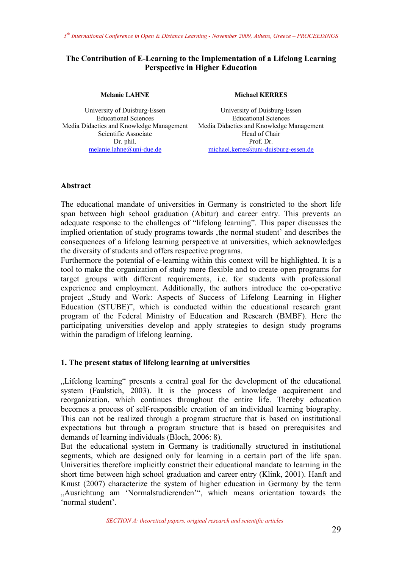### **The Contribution of E-Learning to the Implementation of a Lifelong Learning Perspective in Higher Education**

**Melanie LAHNE** 

University of Duisburg-Essen Educational Sciences Media Didactics and Knowledge Management Scientific Associate Dr. phil. melanie.lahne@uni-due.de

#### **Michael KERRES**

University of Duisburg-Essen Educational Sciences Media Didactics and Knowledge Management Head of Chair Prof. Dr. michael.kerres@uni-duisburg-essen.de

#### **Abstract**

The educational mandate of universities in Germany is constricted to the short life span between high school graduation (Abitur) and career entry. This prevents an adequate response to the challenges of "lifelong learning". This paper discusses the implied orientation of study programs towards, the normal student' and describes the consequences of a lifelong learning perspective at universities, which acknowledges the diversity of students and offers respective programs.

Furthermore the potential of e-learning within this context will be highlighted. It is a tool to make the organization of study more flexible and to create open programs for target groups with different requirements, i.e. for students with professional experience and employment. Additionally, the authors introduce the co-operative project "Study and Work: Aspects of Success of Lifelong Learning in Higher Education (STUBE)", which is conducted within the educational research grant program of the Federal Ministry of Education and Research (BMBF). Here the participating universities develop and apply strategies to design study programs within the paradigm of lifelong learning.

# **1. The present status of lifelong learning at universities**

"Lifelong learning" presents a central goal for the development of the educational system (Faulstich, 2003). It is the process of knowledge acquirement and reorganization, which continues throughout the entire life. Thereby education becomes a process of self-responsible creation of an individual learning biography. This can not be realized through a program structure that is based on institutional expectations but through a program structure that is based on prerequisites and demands of learning individuals (Bloch, 2006: 8).

But the educational system in Germany is traditionally structured in institutional segments, which are designed only for learning in a certain part of the life span. Universities therefore implicitly constrict their educational mandate to learning in the short time between high school graduation and career entry (Klink, 2001). Hanft and Knust (2007) characterize the system of higher education in Germany by the term "Ausrichtung am 'Normalstudierenden'", which means orientation towards the 'normal student'.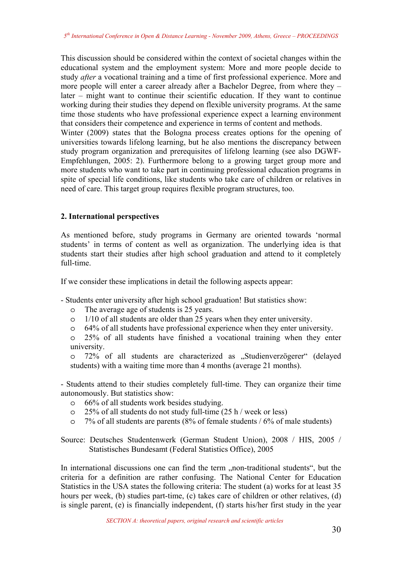This discussion should be considered within the context of societal changes within the educational system and the employment system: More and more people decide to study *after* a vocational training and a time of first professional experience. More and more people will enter a career already after a Bachelor Degree, from where they – later – might want to continue their scientific education. If they want to continue working during their studies they depend on flexible university programs. At the same time those students who have professional experience expect a learning environment that considers their competence and experience in terms of content and methods. Winter (2009) states that the Bologna process creates options for the opening of

universities towards lifelong learning, but he also mentions the discrepancy between study program organization and prerequisites of lifelong learning (see also DGWF-Empfehlungen, 2005: 2). Furthermore belong to a growing target group more and more students who want to take part in continuing professional education programs in spite of special life conditions, like students who take care of children or relatives in need of care. This target group requires flexible program structures, too.

# **2. International perspectives**

As mentioned before, study programs in Germany are oriented towards 'normal students' in terms of content as well as organization. The underlying idea is that students start their studies after high school graduation and attend to it completely full-time.

If we consider these implications in detail the following aspects appear:

- Students enter university after high school graduation! But statistics show:
	- o The average age of students is 25 years.
	- o 1/10 of all students are older than 25 years when they enter university.
	- o 64% of all students have professional experience when they enter university.
	- o 25% of all students have finished a vocational training when they enter university.

o 72% of all students are characterized as "Studienverzögerer" (delayed students) with a waiting time more than 4 months (average 21 months).

- Students attend to their studies completely full-time. They can organize their time autonomously. But statistics show:

- o 66% of all students work besides studying.
- o 25% of all students do not study full-time (25 h / week or less)
- o 7% of all students are parents (8% of female students / 6% of male students)

Source: Deutsches Studentenwerk (German Student Union), 2008 / HIS, 2005 / Statistisches Bundesamt (Federal Statistics Office), 2005

In international discussions one can find the term ,,non-traditional students", but the criteria for a definition are rather confusing. The National Center for Education Statistics in the USA states the following criteria: The student (a) works for at least 35 hours per week, (b) studies part-time, (c) takes care of children or other relatives, (d) is single parent, (e) is financially independent, (f) starts his/her first study in the year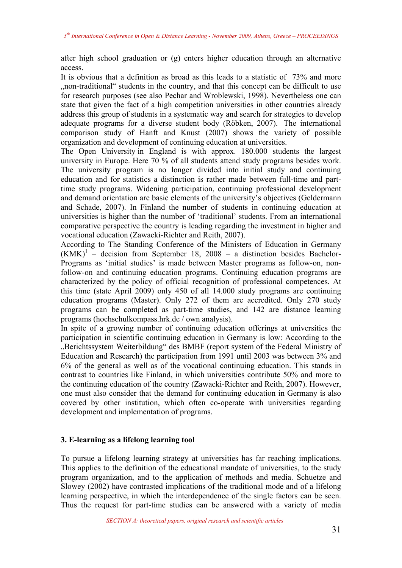after high school graduation or (g) enters higher education through an alternative access.

It is obvious that a definition as broad as this leads to a statistic of 73% and more "non-traditional" students in the country, and that this concept can be difficult to use for research purposes (see also Pechar and Wroblewski, 1998). Nevertheless one can state that given the fact of a high competition universities in other countries already address this group of students in a systematic way and search for strategies to develop adequate programs for a diverse student body (Röbken, 2007). The international comparison study of Hanft and Knust (2007) shows the variety of possible organization and development of continuing education at universities.

The Open University in England is with approx. 180.000 students the largest university in Europe. Here 70 % of all students attend study programs besides work. The university program is no longer divided into initial study and continuing education and for statistics a distinction is rather made between full-time and parttime study programs. Widening participation, continuing professional development and demand orientation are basic elements of the university's objectives (Geldermann and Schade, 2007). In Finland the number of students in continuing education at universities is higher than the number of 'traditional' students. From an international comparative perspective the country is leading regarding the investment in higher and vocational education (Zawacki-Richter and Reith, 2007).

According to The Standing Conference of the Ministers of Education in Germany  $(KMK)^{1}$  – decision from September 18, 2008 – a distinction besides Bachelor-Programs as 'initial studies' is made between Master programs as follow-on, nonfollow-on and continuing education programs. Continuing education programs are characterized by the policy of official recognition of professional competences. At this time (state April 2009) only 450 of all 14.000 study programs are continuing education programs (Master). Only 272 of them are accredited. Only 270 study programs can be completed as part-time studies, and 142 are distance learning programs (hochschulkompass.hrk.de / own analysis).

In spite of a growing number of continuing education offerings at universities the participation in scientific continuing education in Germany is low: According to the "Berichtssystem Weiterbildung" des BMBF (report system of the Federal Ministry of Education and Research) the participation from 1991 until 2003 was between 3% and 6% of the general as well as of the vocational continuing education. This stands in contrast to countries like Finland, in which universities contribute 50% and more to the continuing education of the country (Zawacki-Richter and Reith, 2007). However, one must also consider that the demand for continuing education in Germany is also covered by other institution, which often co-operate with universities regarding development and implementation of programs.

# **3. E-learning as a lifelong learning tool**

To pursue a lifelong learning strategy at universities has far reaching implications. This applies to the definition of the educational mandate of universities, to the study program organization, and to the application of methods and media. Schuetze and Slowey (2002) have contrasted implications of the traditional mode and of a lifelong learning perspective, in which the interdependence of the single factors can be seen. Thus the request for part-time studies can be answered with a variety of media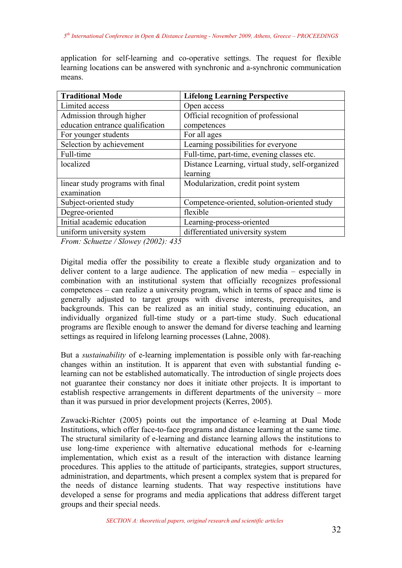application for self-learning and co-operative settings. The request for flexible learning locations can be answered with synchronic and a-synchronic communication means.

| <b>Traditional Mode</b>          | <b>Lifelong Learning Perspective</b>             |
|----------------------------------|--------------------------------------------------|
| Limited access                   | Open access                                      |
| Admission through higher         | Official recognition of professional             |
| education entrance qualification | competences                                      |
| For younger students             | For all ages                                     |
| Selection by achievement         | Learning possibilities for everyone              |
| Full-time                        | Full-time, part-time, evening classes etc.       |
| localized                        | Distance Learning, virtual study, self-organized |
|                                  | learning                                         |
| linear study programs with final | Modularization, credit point system              |
| examination                      |                                                  |
| Subject-oriented study           | Competence-oriented, solution-oriented study     |
| Degree-oriented                  | flexible                                         |
| Initial academic education       | Learning-process-oriented                        |
| uniform university system        | differentiated university system                 |

*From: Schuetze / Slowey (2002): 435* 

Digital media offer the possibility to create a flexible study organization and to deliver content to a large audience. The application of new media – especially in combination with an institutional system that officially recognizes professional competences – can realize a university program, which in terms of space and time is generally adjusted to target groups with diverse interests, prerequisites, and backgrounds. This can be realized as an initial study, continuing education, an individually organized full-time study or a part-time study. Such educational programs are flexible enough to answer the demand for diverse teaching and learning settings as required in lifelong learning processes (Lahne, 2008).

But a *sustainability* of e-learning implementation is possible only with far-reaching changes within an institution. It is apparent that even with substantial funding elearning can not be established automatically. The introduction of single projects does not guarantee their constancy nor does it initiate other projects. It is important to establish respective arrangements in different departments of the university – more than it was pursued in prior development projects (Kerres, 2005).

Zawacki-Richter (2005) points out the importance of e-learning at Dual Mode Institutions, which offer face-to-face programs and distance learning at the same time. The structural similarity of e-learning and distance learning allows the institutions to use long-time experience with alternative educational methods for e-learning implementation, which exist as a result of the interaction with distance learning procedures. This applies to the attitude of participants, strategies, support structures, administration, and departments, which present a complex system that is prepared for the needs of distance learning students. That way respective institutions have developed a sense for programs and media applications that address different target groups and their special needs.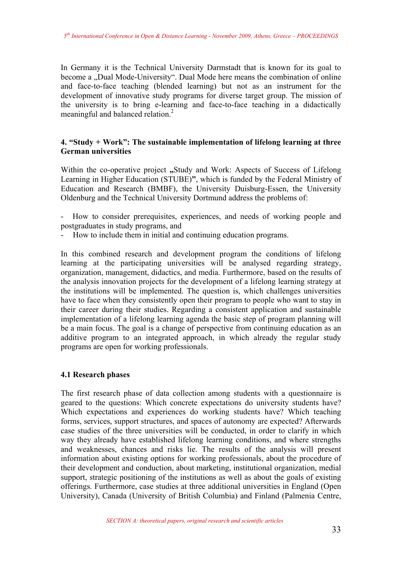In Germany it is the Technical University Darmstadt that is known for its goal to become a "Dual Mode-University". Dual Mode here means the combination of online and face-to-face teaching (blended learning) but not as an instrument for the development of innovative study programs for diverse target group. The mission of the university is to bring e-learning and face-to-face teaching in a didactically meaningful and balanced relation.<sup>2</sup>

# **4. "Study + Work": The sustainable implementation of lifelong learning at three German universities**

Within the co-operative project "Study and Work: Aspects of Success of Lifelong Learning in Higher Education (STUBE)**"**, which is funded by the Federal Ministry of Education and Research (BMBF), the University Duisburg-Essen, the University Oldenburg and the Technical University Dortmund address the problems of:

- How to consider prerequisites, experiences, and needs of working people and postgraduates in study programs, and

- How to include them in initial and continuing education programs.

In this combined research and development program the conditions of lifelong learning at the participating universities will be analysed regarding strategy, organization, management, didactics, and media. Furthermore, based on the results of the analysis innovation projects for the development of a lifelong learning strategy at the institutions will be implemented. The question is, which challenges universities have to face when they consistently open their program to people who want to stay in their career during their studies. Regarding a consistent application and sustainable implementation of a lifelong learning agenda the basic step of program planning will be a main focus. The goal is a change of perspective from continuing education as an additive program to an integrated approach, in which already the regular study programs are open for working professionals.

#### **4.1 Research phases**

The first research phase of data collection among students with a questionnaire is geared to the questions: Which concrete expectations do university students have? Which expectations and experiences do working students have? Which teaching forms, services, support structures, and spaces of autonomy are expected? Afterwards case studies of the three universities will be conducted, in order to clarify in which way they already have established lifelong learning conditions, and where strengths and weaknesses, chances and risks lie. The results of the analysis will present information about existing options for working professionals, about the procedure of their development and conduction, about marketing, institutional organization, medial support, strategic positioning of the institutions as well as about the goals of existing offerings. Furthermore, case studies at three additional universities in England (Open University), Canada (University of British Columbia) and Finland (Palmenia Centre,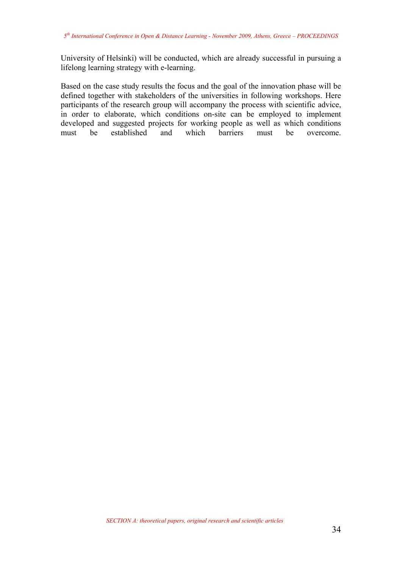University of Helsinki) will be conducted, which are already successful in pursuing a lifelong learning strategy with e-learning.

Based on the case study results the focus and the goal of the innovation phase will be defined together with stakeholders of the universities in following workshops. Here participants of the research group will accompany the process with scientific advice, in order to elaborate, which conditions on-site can be employed to implement developed and suggested projects for working people as well as which conditions must be established and which barriers must be overcome.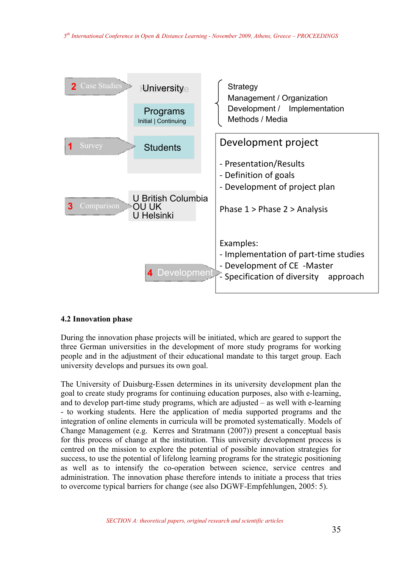

# **4.2 Innovation phase**

During the innovation phase projects will be initiated, which are geared to support the three German universities in the development of more study programs for working people and in the adjustment of their educational mandate to this target group. Each university develops and pursues its own goal.

The University of Duisburg-Essen determines in its university development plan the goal to create study programs for continuing education purposes, also with e-learning, and to develop part-time study programs, which are adjusted – as well with e-learning - to working students. Here the application of media supported programs and the integration of online elements in curricula will be promoted systematically. Models of Change Management (e.g. Kerres and Stratmann (2007)) present a conceptual basis for this process of change at the institution. This university development process is centred on the mission to explore the potential of possible innovation strategies for success, to use the potential of lifelong learning programs for the strategic positioning as well as to intensify the co-operation between science, service centres and administration. The innovation phase therefore intends to initiate a process that tries to overcome typical barriers for change (see also DGWF-Empfehlungen, 2005: 5).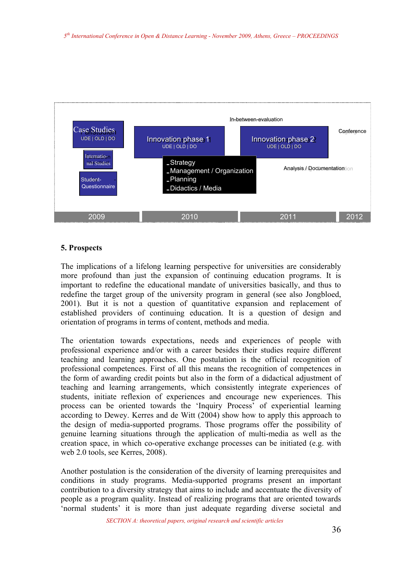

### **5. Prospects**

The implications of a lifelong learning perspective for universities are considerably more profound than just the expansion of continuing education programs. It is important to redefine the educational mandate of universities basically, and thus to redefine the target group of the university program in general (see also Jongbloed, 2001). But it is not a question of quantitative expansion and replacement of established providers of continuing education. It is a question of design and orientation of programs in terms of content, methods and media.

The orientation towards expectations, needs and experiences of people with professional experience and/or with a career besides their studies require different teaching and learning approaches. One postulation is the official recognition of professional competences. First of all this means the recognition of competences in the form of awarding credit points but also in the form of a didactical adjustment of teaching and learning arrangements, which consistently integrate experiences of students, initiate reflexion of experiences and encourage new experiences. This process can be oriented towards the 'Inquiry Process' of experiential learning according to Dewey. Kerres and de Witt (2004) show how to apply this approach to the design of media-supported programs. Those programs offer the possibility of genuine learning situations through the application of multi-media as well as the creation space, in which co-operative exchange processes can be initiated (e.g. with web 2.0 tools, see Kerres, 2008).

Another postulation is the consideration of the diversity of learning prerequisites and conditions in study programs. Media-supported programs present an important contribution to a diversity strategy that aims to include and accentuate the diversity of people as a program quality. Instead of realizing programs that are oriented towards 'normal students' it is more than just adequate regarding diverse societal and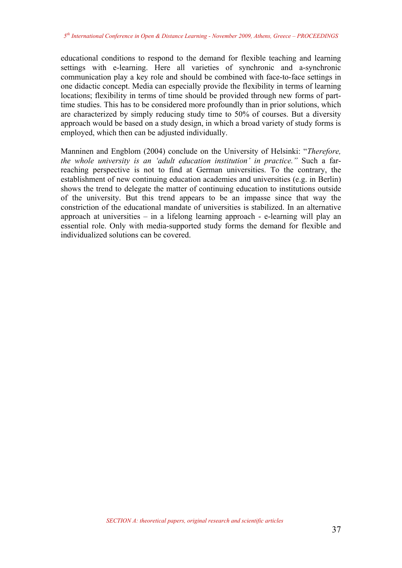educational conditions to respond to the demand for flexible teaching and learning settings with e-learning. Here all varieties of synchronic and a-synchronic communication play a key role and should be combined with face-to-face settings in one didactic concept. Media can especially provide the flexibility in terms of learning locations; flexibility in terms of time should be provided through new forms of parttime studies. This has to be considered more profoundly than in prior solutions, which are characterized by simply reducing study time to 50% of courses. But a diversity approach would be based on a study design, in which a broad variety of study forms is employed, which then can be adjusted individually.

Manninen and Engblom (2004) conclude on the University of Helsinki: "*Therefore, the whole university is an 'adult education institution' in practice."* Such a farreaching perspective is not to find at German universities. To the contrary, the establishment of new continuing education academies and universities (e.g. in Berlin) shows the trend to delegate the matter of continuing education to institutions outside of the university. But this trend appears to be an impasse since that way the constriction of the educational mandate of universities is stabilized. In an alternative approach at universities – in a lifelong learning approach - e-learning will play an essential role. Only with media-supported study forms the demand for flexible and individualized solutions can be covered.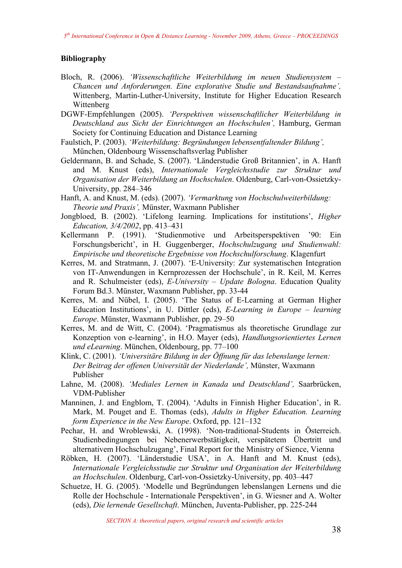### **Bibliography**

- Bloch, R. (2006). *'Wissenschaftliche Weiterbildung im neuen Studiensystem Chancen und Anforderungen. Eine explorative Studie und Bestandsaufnahme',* Wittenberg, Martin-Luther-University, Institute for Higher Education Research Wittenberg
- DGWF-Empfehlungen (2005). *'Perspektiven wissenschaftlicher Weiterbildung in Deutschland aus Sicht der Einrichtungen an Hochschulen',* Hamburg, German Society for Continuing Education and Distance Learning
- Faulstich, P. (2003). *'Weiterbildung: Begründungen lebensentfaltender Bildung',* München, Oldenbourg Wissenschaftsverlag Publisher
- Geldermann, B. and Schade, S. (2007). 'Länderstudie Groß Britannien', in A. Hanft and M. Knust (eds), *Internationale Vergleichsstudie zur Struktur und Organisation der Weiterbildung an Hochschulen*. Oldenburg, Carl-von-Ossietzky-University, pp. 284–346
- Hanft, A. and Knust, M. (eds). (2007). *'Vermarktung von Hochschulweiterbildung: Theorie und Praxis',* Münster, Waxmann Publisher
- Jongbloed, B. (2002). 'Lifelong learning. Implications for institutions', *Higher Education, 3/4/2002*, pp. 413–431
- Kellermann P. (1991). 'Studienmotive und Arbeitsperspektiven '90: Ein Forschungsbericht', in H. Guggenberger, *Hochschulzugang und Studienwahl: Empirische und theoretische Ergebnisse von Hochschulforschung*. Klagenfurt
- Kerres, M. and Stratmann, J. (2007). 'E-University: Zur systematischen Integration von IT-Anwendungen in Kernprozessen der Hochschule', in R. Keil, M. Kerres and R. Schulmeister (eds), *E-University – Update Bologna*. Education Quality Forum Bd.3. Münster, Waxmann Publisher, pp. 33-44
- Kerres, M. and Nübel, I. (2005). 'The Status of E-Learning at German Higher Education Institutions', in U. Dittler (eds), *E-Learning in Europe – learning Europe*. Münster, Waxmann Publisher, pp. 29–50
- Kerres, M. and de Witt, C. (2004). 'Pragmatismus als theoretische Grundlage zur Konzeption von e-learning', in H.O. Mayer (eds), *Handlungsorientiertes Lernen und eLearning*. München, Oldenbourg, pp. 77–100
- Klink, C. (2001). *'Universitäre Bildung in der Öffnung für das lebenslange lernen: Der Beitrag der offenen Universität der Niederlande',* Münster, Waxmann Publisher
- Lahne, M. (2008). *'Mediales Lernen in Kanada und Deutschland',* Saarbrücken, VDM-Publisher
- Manninen, J. and Engblom, T. (2004). 'Adults in Finnish Higher Education', in R. Mark, M. Pouget and E. Thomas (eds), *Adults in Higher Education. Learning form Experience in the New Europe*. Oxford, pp. 121–132
- Pechar, H. and Wroblewski, A. (1998). 'Non-traditional-Students in Österreich. Studienbedingungen bei Nebenerwerbstätigkeit, verspätetem Übertritt und alternativem Hochschulzugang', Final Report for the Ministry of Sience, Vienna
- Röbken, H. (2007). 'Länderstudie USA', in A. Hanft and M. Knust (eds), *Internationale Vergleichsstudie zur Struktur und Organisation der Weiterbildung an Hochschulen*. Oldenburg, Carl-von-Ossietzky-University, pp. 403–447
- Schuetze, H. G. (2005). 'Modelle und Begründungen lebenslangen Lernens und die Rolle der Hochschule - Internationale Perspektiven', in G. Wiesner and A. Wolter (eds), *Die lernende Gesellschaft*. München, Juventa-Publisher, pp. 225-244